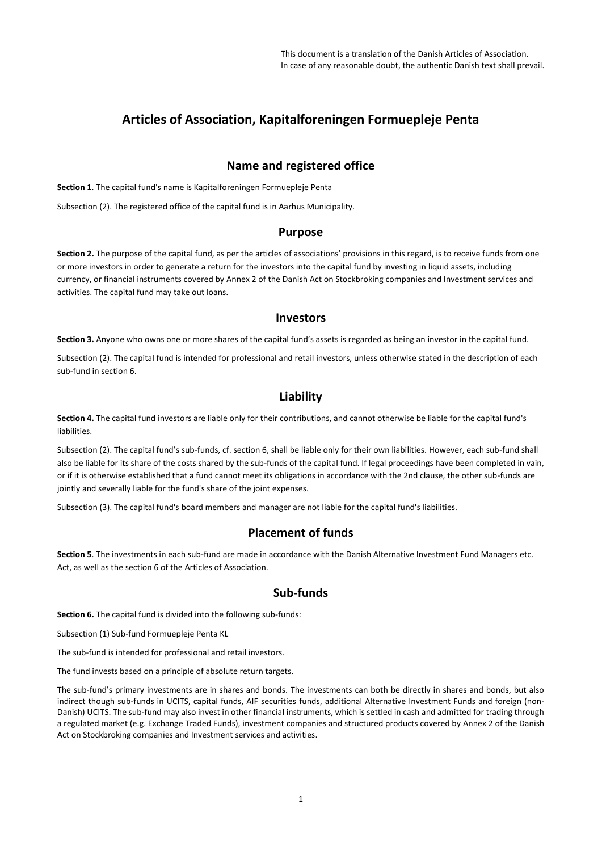# **Articles of Association, Kapitalforeningen Formuepleje Penta**

## **Name and registered office**

**Section 1**. The capital fund's name is Kapitalforeningen Formuepleje Penta

Subsection (2). The registered office of the capital fund is in Aarhus Municipality.

#### **Purpose**

**Section 2.** The purpose of the capital fund, as per the articles of associations' provisions in this regard, is to receive funds from one or more investors in order to generate a return for the investors into the capital fund by investing in liquid assets, including currency, or financial instruments covered by Annex 2 of the Danish Act on Stockbroking companies and Investment services and activities. The capital fund may take out loans.

#### **Investors**

**Section 3.** Anyone who owns one or more shares of the capital fund's assets is regarded as being an investor in the capital fund.

Subsection (2). The capital fund is intended for professional and retail investors, unless otherwise stated in the description of each sub-fund in section 6.

# **Liability**

**Section 4.** The capital fund investors are liable only for their contributions, and cannot otherwise be liable for the capital fund's liabilities.

Subsection (2). The capital fund's sub-funds, cf. section 6, shall be liable only for their own liabilities. However, each sub-fund shall also be liable for its share of the costs shared by the sub-funds of the capital fund. If legal proceedings have been completed in vain, or if it is otherwise established that a fund cannot meet its obligations in accordance with the 2nd clause, the other sub-funds are jointly and severally liable for the fund's share of the joint expenses.

Subsection (3). The capital fund's board members and manager are not liable for the capital fund's liabilities.

### **Placement of funds**

**Section 5**. The investments in each sub-fund are made in accordance with the Danish Alternative Investment Fund Managers etc. Act, as well as the section 6 of the Articles of Association.

### **Sub-funds**

**Section 6.** The capital fund is divided into the following sub-funds:

Subsection (1) Sub-fund Formuepleje Penta KL

The sub-fund is intended for professional and retail investors.

The fund invests based on a principle of absolute return targets.

The sub-fund's primary investments are in shares and bonds. The investments can both be directly in shares and bonds, but also indirect though sub-funds in UCITS, capital funds, AIF securities funds, additional Alternative Investment Funds and foreign (non-Danish) UCITS. The sub-fund may also invest in other financial instruments, which is settled in cash and admitted for trading through a regulated market (e.g. Exchange Traded Funds), investment companies and structured products covered by Annex 2 of the Danish Act on Stockbroking companies and Investment services and activities.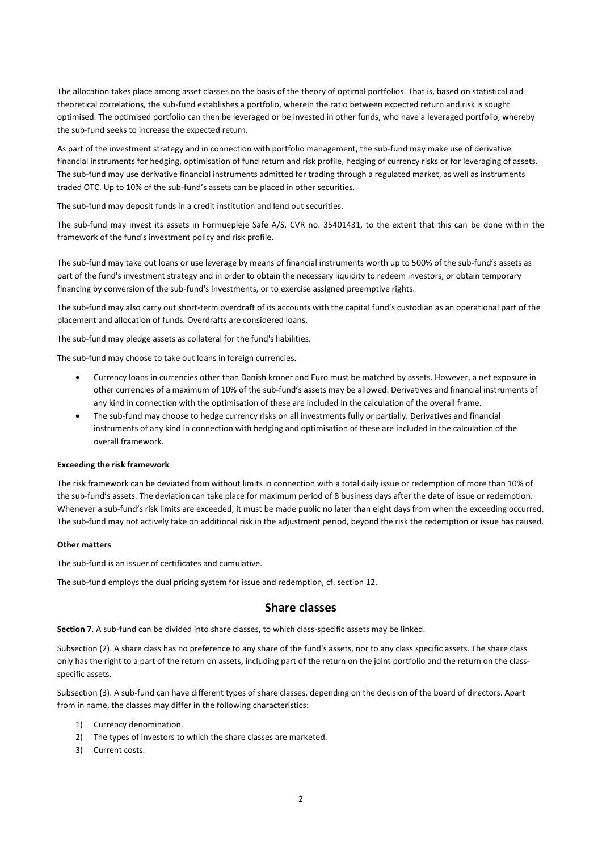The allocation takes place among asset classes on the basis of the theory of optimal portfolios. That is, based on statistical and theoretical correlations, the sub-fund establishes a portfolio, wherein the ratio between expected return and risk is sought optimised. The optimised portfolio can then be leveraged or be invested in other funds, who have a leveraged portfolio, whereby the sub-fund seeks to increase the expected return.

As part of the investment strategy and in connection with portfolio management, the sub-fund may make use of derivative financial instruments for hedging, optimisation of fund return and risk profile, hedging of currency risks or for leveraging of assets. The sub-fund may use derivative financial instruments admitted for trading through a regulated market, as well as instruments traded OTC. Up to 10% of the sub-fund's assets can be placed in other securities.

The sub-fund may deposit funds in a credit institution and lend out securities.

The sub-fund may invest its assets in Formuepleje Safe A/S, CVR no. 35401431, to the extent that this can be done within the framework of the fund's investment policy and risk profile.

The sub-fund may take out loans or use leverage by means of financial instruments worth up to 500% of the sub-fund's assets as part of the fund's investment strategy and in order to obtain the necessary liquidity to redeem investors, or obtain temporary financing by conversion of the sub-fund's investments, or to exercise assigned preemptive rights.

The sub-fund may also carry out short-term overdraft of its accounts with the capital fund's custodian as an operational part of the placement and allocation of funds. Overdrafts are considered loans.

The sub-fund may pledge assets as collateral for the fund's liabilities.

The sub-fund may choose to take out loans in foreign currencies.

- Currency loans in currencies other than Danish kroner and Euro must be matched by assets. However, a net exposure in other currencies of a maximum of 10% of the sub-fund's assets may be allowed. Derivatives and financial instruments of any kind in connection with the optimisation of these are included in the calculation of the overall frame.
- The sub-fund may choose to hedge currency risks on all investments fully or partially. Derivatives and financial instruments of any kind in connection with hedging and optimisation of these are included in the calculation of the overall framework.

#### **Exceeding the risk framework**

The risk framework can be deviated from without limits in connection with a total daily issue or redemption of more than 10% of the sub-fund's assets. The deviation can take place for maximum period of 8 business days after the date of issue or redemption. Whenever a sub-fund's risk limits are exceeded, it must be made public no later than eight days from when the exceeding occurred. The sub-fund may not actively take on additional risk in the adjustment period, beyond the risk the redemption or issue has caused.

#### **Other matters**

The sub-fund is an issuer of certificates and cumulative.

The sub-fund employs the dual pricing system for issue and redemption, cf. section 12.

#### **Share classes**

**Section 7**. A sub-fund can be divided into share classes, to which class-specific assets may be linked.

Subsection (2). A share class has no preference to any share of the fund's assets, nor to any class specific assets. The share class only has the right to a part of the return on assets, including part of the return on the joint portfolio and the return on the classspecific assets.

Subsection (3). A sub-fund can have different types of share classes, depending on the decision of the board of directors. Apart from in name, the classes may differ in the following characteristics:

- 1) Currency denomination.
- 2) The types of investors to which the share classes are marketed.
- 3) Current costs.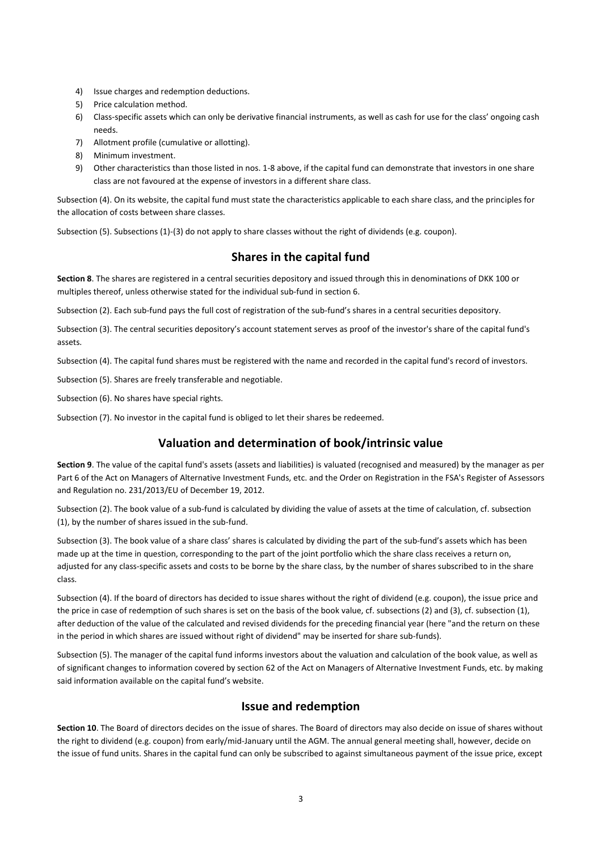- 4) Issue charges and redemption deductions.
- 5) Price calculation method.
- 6) Class-specific assets which can only be derivative financial instruments, as well as cash for use for the class' ongoing cash needs.
- 7) Allotment profile (cumulative or allotting).
- 8) Minimum investment.
- 9) Other characteristics than those listed in nos. 1-8 above, if the capital fund can demonstrate that investors in one share class are not favoured at the expense of investors in a different share class.

Subsection (4). On its website, the capital fund must state the characteristics applicable to each share class, and the principles for the allocation of costs between share classes.

Subsection (5). Subsections (1)-(3) do not apply to share classes without the right of dividends (e.g. coupon).

# **Shares in the capital fund**

**Section 8**. The shares are registered in a central securities depository and issued through this in denominations of DKK 100 or multiples thereof, unless otherwise stated for the individual sub-fund in section 6.

Subsection (2). Each sub-fund pays the full cost of registration of the sub-fund's shares in a central securities depository.

Subsection (3). The central securities depository's account statement serves as proof of the investor's share of the capital fund's assets.

Subsection (4). The capital fund shares must be registered with the name and recorded in the capital fund's record of investors.

Subsection (5). Shares are freely transferable and negotiable.

Subsection (6). No shares have special rights.

Subsection (7). No investor in the capital fund is obliged to let their shares be redeemed.

### **Valuation and determination of book/intrinsic value**

**Section 9**. The value of the capital fund's assets (assets and liabilities) is valuated (recognised and measured) by the manager as per Part 6 of the Act on Managers of Alternative Investment Funds, etc. and the Order on Registration in the FSA's Register of Assessors and Regulation no. 231/2013/EU of December 19, 2012.

Subsection (2). The book value of a sub-fund is calculated by dividing the value of assets at the time of calculation, cf. subsection (1), by the number of shares issued in the sub-fund.

Subsection (3). The book value of a share class' shares is calculated by dividing the part of the sub-fund's assets which has been made up at the time in question, corresponding to the part of the joint portfolio which the share class receives a return on, adjusted for any class-specific assets and costs to be borne by the share class, by the number of shares subscribed to in the share class.

Subsection (4). If the board of directors has decided to issue shares without the right of dividend (e.g. coupon), the issue price and the price in case of redemption of such shares is set on the basis of the book value, cf. subsections (2) and (3), cf. subsection (1), after deduction of the value of the calculated and revised dividends for the preceding financial year (here "and the return on these in the period in which shares are issued without right of dividend" may be inserted for share sub-funds).

Subsection (5). The manager of the capital fund informs investors about the valuation and calculation of the book value, as well as of significant changes to information covered by section 62 of the Act on Managers of Alternative Investment Funds, etc. by making said information available on the capital fund's website.

### **Issue and redemption**

**Section 10**. The Board of directors decides on the issue of shares. The Board of directors may also decide on issue of shares without the right to dividend (e.g. coupon) from early/mid-January until the AGM. The annual general meeting shall, however, decide on the issue of fund units. Shares in the capital fund can only be subscribed to against simultaneous payment of the issue price, except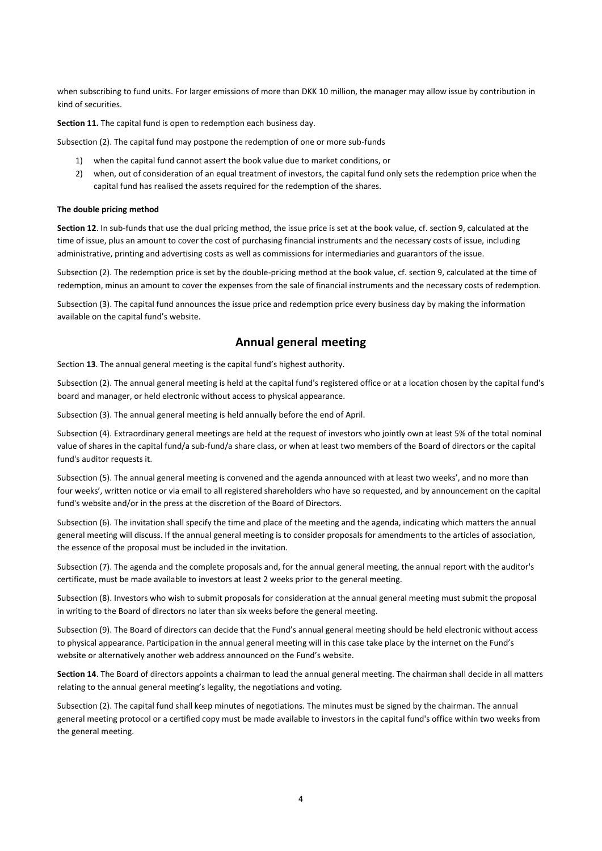when subscribing to fund units. For larger emissions of more than DKK 10 million, the manager may allow issue by contribution in kind of securities.

**Section 11.** The capital fund is open to redemption each business day.

Subsection (2). The capital fund may postpone the redemption of one or more sub-funds

- 1) when the capital fund cannot assert the book value due to market conditions, or
- 2) when, out of consideration of an equal treatment of investors, the capital fund only sets the redemption price when the capital fund has realised the assets required for the redemption of the shares.

#### **The double pricing method**

**Section 12**. In sub-funds that use the dual pricing method, the issue price is set at the book value, cf. section 9, calculated at the time of issue, plus an amount to cover the cost of purchasing financial instruments and the necessary costs of issue, including administrative, printing and advertising costs as well as commissions for intermediaries and guarantors of the issue.

Subsection (2). The redemption price is set by the double-pricing method at the book value, cf. section 9, calculated at the time of redemption, minus an amount to cover the expenses from the sale of financial instruments and the necessary costs of redemption.

Subsection (3). The capital fund announces the issue price and redemption price every business day by making the information available on the capital fund's website.

#### **Annual general meeting**

Section **13**. The annual general meeting is the capital fund's highest authority.

Subsection (2). The annual general meeting is held at the capital fund's registered office or at a location chosen by the capital fund's board and manager, or held electronic without access to physical appearance.

Subsection (3). The annual general meeting is held annually before the end of April.

Subsection (4). Extraordinary general meetings are held at the request of investors who jointly own at least 5% of the total nominal value of shares in the capital fund/a sub-fund/a share class, or when at least two members of the Board of directors or the capital fund's auditor requests it.

Subsection (5). The annual general meeting is convened and the agenda announced with at least two weeks', and no more than four weeks', written notice or via email to all registered shareholders who have so requested, and by announcement on the capital fund's website and/or in the press at the discretion of the Board of Directors.

Subsection (6). The invitation shall specify the time and place of the meeting and the agenda, indicating which matters the annual general meeting will discuss. If the annual general meeting is to consider proposals for amendments to the articles of association, the essence of the proposal must be included in the invitation.

Subsection (7). The agenda and the complete proposals and, for the annual general meeting, the annual report with the auditor's certificate, must be made available to investors at least 2 weeks prior to the general meeting.

Subsection (8). Investors who wish to submit proposals for consideration at the annual general meeting must submit the proposal in writing to the Board of directors no later than six weeks before the general meeting.

Subsection (9). The Board of directors can decide that the Fund's annual general meeting should be held electronic without access to physical appearance. Participation in the annual general meeting will in this case take place by the internet on the Fund's website or alternatively another web address announced on the Fund's website.

**Section 14**. The Board of directors appoints a chairman to lead the annual general meeting. The chairman shall decide in all matters relating to the annual general meeting's legality, the negotiations and voting.

Subsection (2). The capital fund shall keep minutes of negotiations. The minutes must be signed by the chairman. The annual general meeting protocol or a certified copy must be made available to investors in the capital fund's office within two weeks from the general meeting.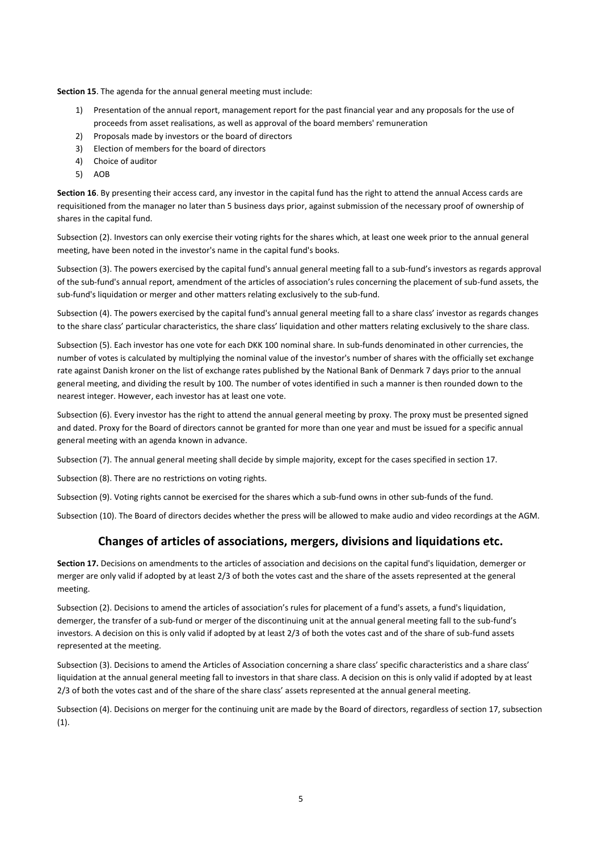**Section 15**. The agenda for the annual general meeting must include:

- 1) Presentation of the annual report, management report for the past financial year and any proposals for the use of proceeds from asset realisations, as well as approval of the board members' remuneration
- 2) Proposals made by investors or the board of directors
- 3) Election of members for the board of directors
- 4) Choice of auditor
- 5) AOB

**Section 16**. By presenting their access card, any investor in the capital fund has the right to attend the annual Access cards are requisitioned from the manager no later than 5 business days prior, against submission of the necessary proof of ownership of shares in the capital fund.

Subsection (2). Investors can only exercise their voting rights for the shares which, at least one week prior to the annual general meeting, have been noted in the investor's name in the capital fund's books.

Subsection (3). The powers exercised by the capital fund's annual general meeting fall to a sub-fund's investors as regards approval of the sub-fund's annual report, amendment of the articles of association's rules concerning the placement of sub-fund assets, the sub-fund's liquidation or merger and other matters relating exclusively to the sub-fund.

Subsection (4). The powers exercised by the capital fund's annual general meeting fall to a share class' investor as regards changes to the share class' particular characteristics, the share class' liquidation and other matters relating exclusively to the share class.

Subsection (5). Each investor has one vote for each DKK 100 nominal share. In sub-funds denominated in other currencies, the number of votes is calculated by multiplying the nominal value of the investor's number of shares with the officially set exchange rate against Danish kroner on the list of exchange rates published by the National Bank of Denmark 7 days prior to the annual general meeting, and dividing the result by 100. The number of votes identified in such a manner is then rounded down to the nearest integer. However, each investor has at least one vote.

Subsection (6). Every investor has the right to attend the annual general meeting by proxy. The proxy must be presented signed and dated. Proxy for the Board of directors cannot be granted for more than one year and must be issued for a specific annual general meeting with an agenda known in advance.

Subsection (7). The annual general meeting shall decide by simple majority, except for the cases specified in section 17.

Subsection (8). There are no restrictions on voting rights.

Subsection (9). Voting rights cannot be exercised for the shares which a sub-fund owns in other sub-funds of the fund.

Subsection (10). The Board of directors decides whether the press will be allowed to make audio and video recordings at the AGM.

### **Changes of articles of associations, mergers, divisions and liquidations etc.**

**Section 17.** Decisions on amendments to the articles of association and decisions on the capital fund's liquidation, demerger or merger are only valid if adopted by at least 2/3 of both the votes cast and the share of the assets represented at the general meeting.

Subsection (2). Decisions to amend the articles of association's rules for placement of a fund's assets, a fund's liquidation, demerger, the transfer of a sub-fund or merger of the discontinuing unit at the annual general meeting fall to the sub-fund's investors. A decision on this is only valid if adopted by at least 2/3 of both the votes cast and of the share of sub-fund assets represented at the meeting.

Subsection (3). Decisions to amend the Articles of Association concerning a share class' specific characteristics and a share class' liquidation at the annual general meeting fall to investors in that share class. A decision on this is only valid if adopted by at least 2/3 of both the votes cast and of the share of the share class' assets represented at the annual general meeting.

Subsection (4). Decisions on merger for the continuing unit are made by the Board of directors, regardless of section 17, subsection (1).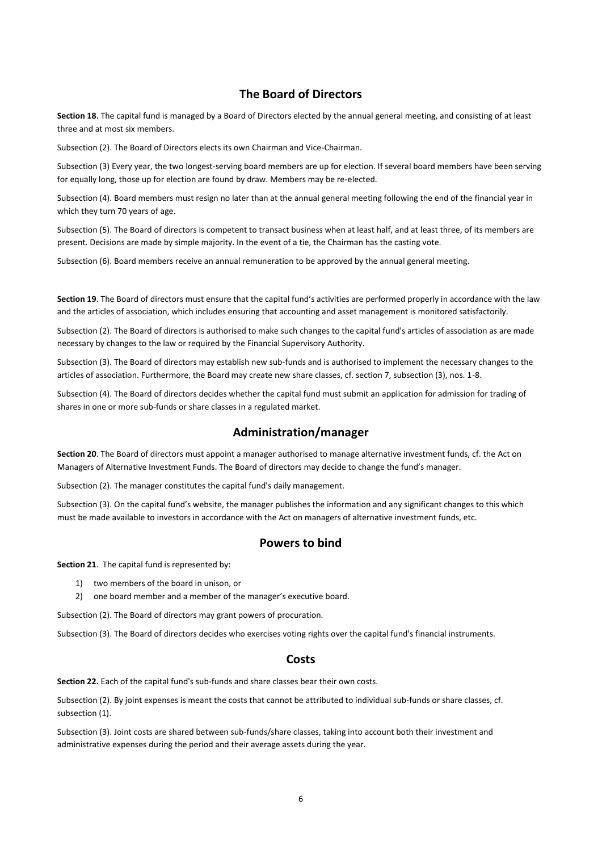#### **The Board of Directors**

**Section 18**. The capital fund is managed by a Board of Directors elected by the annual general meeting, and consisting of at least three and at most six members.

Subsection (2). The Board of Directors elects its own Chairman and Vice-Chairman.

Subsection (3) Every year, the two longest-serving board members are up for election. If several board members have been serving for equally long, those up for election are found by draw. Members may be re-elected.

Subsection (4). Board members must resign no later than at the annual general meeting following the end of the financial year in which they turn 70 years of age.

Subsection (5). The Board of directors is competent to transact business when at least half, and at least three, of its members are present. Decisions are made by simple majority. In the event of a tie, the Chairman has the casting vote.

Subsection (6). Board members receive an annual remuneration to be approved by the annual general meeting.

**Section 19**. The Board of directors must ensure that the capital fund's activities are performed properly in accordance with the law and the articles of association, which includes ensuring that accounting and asset management is monitored satisfactorily.

Subsection (2). The Board of directors is authorised to make such changes to the capital fund's articles of association as are made necessary by changes to the law or required by the Financial Supervisory Authority.

Subsection (3). The Board of directors may establish new sub-funds and is authorised to implement the necessary changes to the articles of association. Furthermore, the Board may create new share classes, cf. section 7, subsection (3), nos. 1-8.

Subsection (4). The Board of directors decides whether the capital fund must submit an application for admission for trading of shares in one or more sub-funds or share classes in a regulated market.

#### **Administration/manager**

**Section 20**. The Board of directors must appoint a manager authorised to manage alternative investment funds, cf. the Act on Managers of Alternative Investment Funds. The Board of directors may decide to change the fund's manager.

Subsection (2). The manager constitutes the capital fund's daily management.

Subsection (3). On the capital fund's website, the manager publishes the information and any significant changes to this which must be made available to investors in accordance with the Act on managers of alternative investment funds, etc.

#### **Powers to bind**

**Section 21**. The capital fund is represented by:

- 1) two members of the board in unison, or
- 2) one board member and a member of the manager's executive board.

Subsection (2). The Board of directors may grant powers of procuration.

Subsection (3). The Board of directors decides who exercises voting rights over the capital fund's financial instruments.

#### **Costs**

**Section 22.** Each of the capital fund's sub-funds and share classes bear their own costs.

Subsection (2). By joint expenses is meant the costs that cannot be attributed to individual sub-funds or share classes, cf. subsection (1).

Subsection (3). Joint costs are shared between sub-funds/share classes, taking into account both their investment and administrative expenses during the period and their average assets during the year.